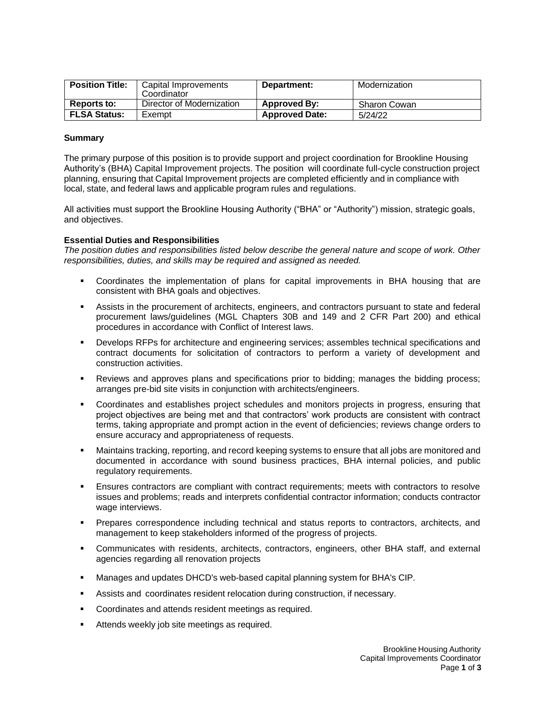| <b>Position Title:</b> | Capital Improvements<br>Coordinator | Department:           | Modernization       |
|------------------------|-------------------------------------|-----------------------|---------------------|
| <b>Reports to:</b>     | Director of Modernization           | <b>Approved By:</b>   | <b>Sharon Cowan</b> |
| <b>FLSA Status:</b>    | Exempt                              | <b>Approved Date:</b> | 5/24/22             |

## **Summary**

The primary purpose of this position is to provide support and project coordination for Brookline Housing Authority's (BHA) Capital Improvement projects. The position will coordinate full-cycle construction project planning, ensuring that Capital Improvement projects are completed efficiently and in compliance with local, state, and federal laws and applicable program rules and regulations.

All activities must support the Brookline Housing Authority ("BHA" or "Authority") mission, strategic goals, and objectives.

# **Essential Duties and Responsibilities**

*The position duties and responsibilities listed below describe the general nature and scope of work. Other responsibilities, duties, and skills may be required and assigned as needed.*

- Coordinates the implementation of plans for capital improvements in BHA housing that are consistent with BHA goals and objectives.
- **EXECTS Assists in the procurement of architects, engineers, and contractors pursuant to state and federal** procurement laws/guidelines (MGL Chapters 30B and 149 and 2 CFR Part 200) and ethical procedures in accordance with Conflict of Interest laws.
- Develops RFPs for architecture and engineering services; assembles technical specifications and contract documents for solicitation of contractors to perform a variety of development and construction activities.
- **EXECT** Reviews and approves plans and specifications prior to bidding; manages the bidding process; arranges pre-bid site visits in conjunction with architects/engineers.
- Coordinates and establishes project schedules and monitors projects in progress, ensuring that project objectives are being met and that contractors' work products are consistent with contract terms, taking appropriate and prompt action in the event of deficiencies; reviews change orders to ensure accuracy and appropriateness of requests.
- Maintains tracking, reporting, and record keeping systems to ensure that all jobs are monitored and documented in accordance with sound business practices, BHA internal policies, and public regulatory requirements.
- Ensures contractors are compliant with contract requirements; meets with contractors to resolve issues and problems; reads and interprets confidential contractor information; conducts contractor wage interviews.
- Prepares correspondence including technical and status reports to contractors, architects, and management to keep stakeholders informed of the progress of projects.
- Communicates with residents, architects, contractors, engineers, other BHA staff, and external agencies regarding all renovation projects
- Manages and updates DHCD's web-based capital planning system for BHA's CIP.
- Assists and coordinates resident relocation during construction, if necessary.
- Coordinates and attends resident meetings as required.
- **EXEC** Attends weekly job site meetings as required.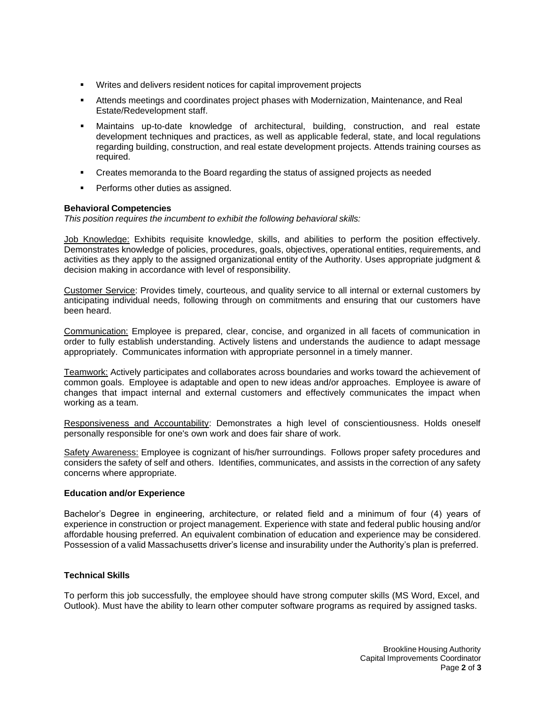- Writes and delivers resident notices for capital improvement projects
- **EXECT Attends meetings and coordinates project phases with Modernization, Maintenance, and Real** Estate/Redevelopment staff.
- Maintains up-to-date knowledge of architectural, building, construction, and real estate development techniques and practices, as well as applicable federal, state, and local regulations regarding building, construction, and real estate development projects. Attends training courses as required.
- **Creates memoranda to the Board regarding the status of assigned projects as needed**
- Performs other duties as assigned.

## **Behavioral Competencies**

*This position requires the incumbent to exhibit the following behavioral skills:*

Job Knowledge: Exhibits requisite knowledge, skills, and abilities to perform the position effectively. Demonstrates knowledge of policies, procedures, goals, objectives, operational entities, requirements, and activities as they apply to the assigned organizational entity of the Authority. Uses appropriate judgment & decision making in accordance with level of responsibility.

Customer Service: Provides timely, courteous, and quality service to all internal or external customers by anticipating individual needs, following through on commitments and ensuring that our customers have been heard.

Communication: Employee is prepared, clear, concise, and organized in all facets of communication in order to fully establish understanding. Actively listens and understands the audience to adapt message appropriately. Communicates information with appropriate personnel in a timely manner.

Teamwork: Actively participates and collaborates across boundaries and works toward the achievement of common goals. Employee is adaptable and open to new ideas and/or approaches. Employee is aware of changes that impact internal and external customers and effectively communicates the impact when working as a team.

Responsiveness and Accountability: Demonstrates a high level of conscientiousness. Holds oneself personally responsible for one's own work and does fair share of work.

Safety Awareness: Employee is cognizant of his/her surroundings. Follows proper safety procedures and considers the safety of self and others. Identifies, communicates, and assists in the correction of any safety concerns where appropriate.

## **Education and/or Experience**

Bachelor's Degree in engineering, architecture, or related field and a minimum of four (4) years of experience in construction or project management. Experience with state and federal public housing and/or affordable housing preferred. An equivalent combination of education and experience may be considered. Possession of a valid Massachusetts driver's license and insurability under the Authority's plan is preferred.

# **Technical Skills**

To perform this job successfully, the employee should have strong computer skills (MS Word, Excel, and Outlook). Must have the ability to learn other computer software programs as required by assigned tasks.